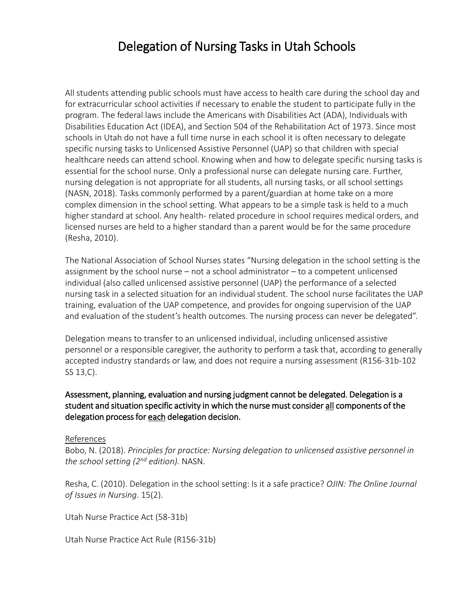## Delegation of Nursing Tasks in Utah Schools

All students attending public schools must have access to health care during the school day and for extracurricular school activities if necessary to enable the student to participate fully in the program. The federal laws include the Americans with Disabilities Act (ADA), Individuals with Disabilities Education Act (IDEA), and Section 504 of the Rehabilitation Act of 1973. Since most schools in Utah do not have a full time nurse in each school it is often necessary to delegate specific nursing tasks to Unlicensed Assistive Personnel (UAP) so that children with special healthcare needs can attend school. Knowing when and how to delegate specific nursing tasks is essential for the school nurse. Only a professional nurse can delegate nursing care. Further, nursing delegation is not appropriate for all students, all nursing tasks, or all school settings (NASN, 2018). Tasks commonly performed by a parent/guardian at home take on a more complex dimension in the school setting. What appears to be a simple task is held to a much higher standard at school. Any health- related procedure in school requires medical orders, and licensed nurses are held to a higher standard than a parent would be for the same procedure (Resha, 2010).

The National Association of School Nurses states "Nursing delegation in the school setting is the assignment by the school nurse – not a school administrator – to a competent unlicensed individual (also called unlicensed assistive personnel (UAP) the performance of a selected nursing task in a selected situation for an individual student. The school nurse facilitates the UAP training, evaluation of the UAP competence, and provides for ongoing supervision of the UAP and evaluation of the student's health outcomes. The nursing process can never be delegated".

Delegation means to transfer to an unlicensed individual, including unlicensed assistive personnel or a responsible caregiver, the authority to perform a task that, according to generally accepted industry standards or law, and does not require a nursing assessment (R156-31b-102 SS 13,C).

## Assessment, planning, evaluation and nursing judgment cannot be delegated. Delegation is a student and situation specific activity in which the nurse must consider all components of the delegation process for each delegation decision.

## References

Bobo, N. (2018). *Principles for practice: Nursing delegation to unlicensed assistive personnel in the school setting (2nd edition).* NASN.

Resha, C. (2010). Delegation in the school setting: Is it a safe practice? *OJIN: The Online Journal of Issues in Nursing*. 15(2).

Utah Nurse Practice Act (58-31b)

Utah Nurse Practice Act Rule (R156-31b)